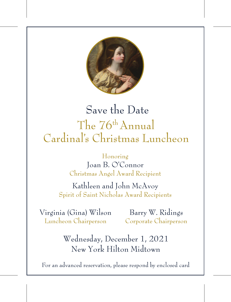

# Save the Date The 76th Annual Cardinal's Christmas Luncheon

#### Honoring Joan B. O'Connor Christmas Angel Award Recipient

#### Kathleen and John McAvoy Spirit of Saint Nicholas Award Recipients

Virginia (Gina) Wilson Luncheon Chairperson

Barry W. Ridings Corporate Chairperson

Wednesday, December 1, 2021 New York Hilton Midtown

For an advanced reservation, please respond by enclosed card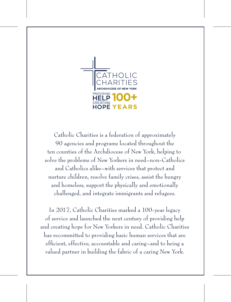

Catholic Charities is a federation of approximately 90 agencies and programs located throughout the ten counties of the Archdiocese of New York, helping to solve the problems of New Yorkers in need–non-Catholics and Catholics alike–with services that protect and nurture children, resolve family crises, assist the hungry and homeless, support the physically and emotionally challenged, and integrate immigrants and refugees.

In 2017, Catholic Charities marked a 100-year legacy of service and launched the next century of providing help and creating hope for New Yorkers in need. Catholic Charities has recommitted to providing basic human services that are efficient, effective, accountable and caring–and to being a valued partner in building the fabric of a caring New York.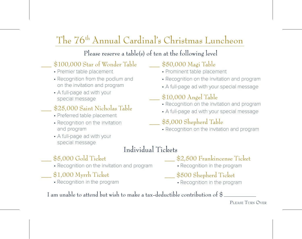## The 76th Annual Cardinal's Christmas Luncheon

#### Please reserve a table(s) of ten at the following level

#### \$100,000 Star of Wonder Table

- Premier table placement
- Recognition from the podium and on the invitation and program
- A full-page ad with your special message

#### \$25,000 Saint Nicholas Table

- Preferred table placement
- Recognition on the invitation and program
- A full-page ad with your special message

#### \_\_\_ \$50,000 Magi Table

- Prominent table placement
- Recognition on the invitation and program
- A full-page ad with your special message

### $$10,000$  Angel Table

- Recognition on the invitation and program
- A full-page ad with your special message

#### \$5,000 Shepherd Table

• Recognition on the invitation and program

### Individual Tickets

#### \$5,000 Gold Ticket

- Recognition on the invitation and program
- $$1,000$  Myrrh Ticket
	- Recognition in the program
- \$2,500 Frankincense Ticket
	- Recognition in the program
- \$500 Shepherd Ticket
	- Recognition in the program

I am unable to attend but wish to make a tax-deductible contribution of \$

#### PLEASE TURN OVER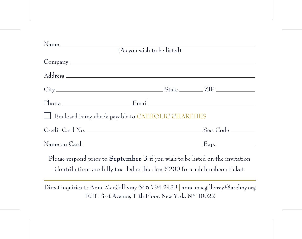| (As you wish to be listed)                                                                                                                                    |  |
|---------------------------------------------------------------------------------------------------------------------------------------------------------------|--|
|                                                                                                                                                               |  |
|                                                                                                                                                               |  |
|                                                                                                                                                               |  |
|                                                                                                                                                               |  |
| Enclosed is my check payable to CATHOLIC CHARITIES                                                                                                            |  |
|                                                                                                                                                               |  |
|                                                                                                                                                               |  |
| Please respond prior to September 3 if you wish to be listed on the invitation<br>Contributions are fully tax-deductible, less \$200 for each luncheon ticket |  |
| Direct inquiries to Anne MacGillivray 646.794.2433   anne.macgillivray@archny.org                                                                             |  |

1011 First Avenue, 11th Floor, New York, NY 10022